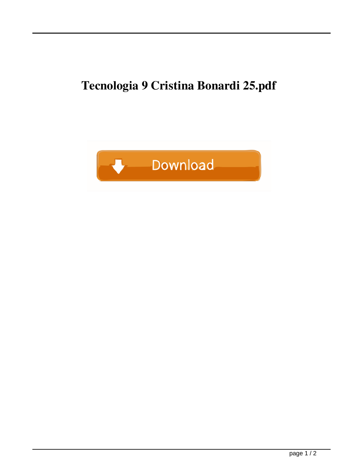## **Tecnologia 9 Cristina Bonardi 25.pdf**